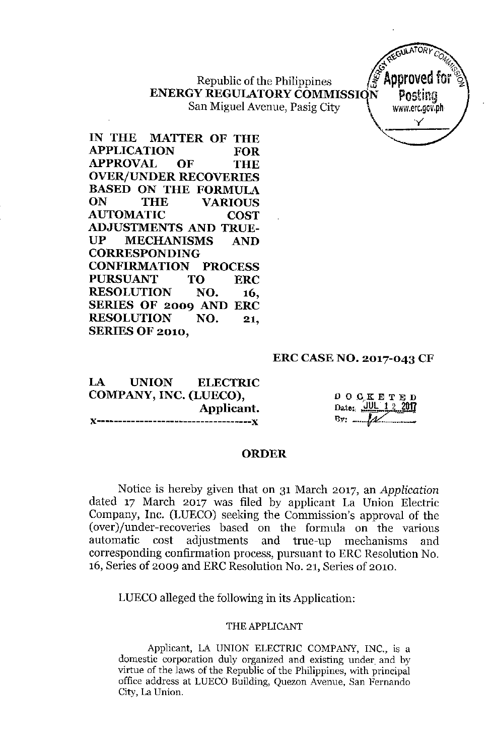**ENERGY REGULATORY COMMISSION Posting** San Miguel Avenue, Pasig City  $\qquad \qquad \downarrow \qquad$  www.erc.gov.ph



**IN THE MATTER OF THE APPLICATION FOR APPROVAL OF THE OVER/UNDER RECOVERIES BASED ON THE FORMULA ON THE VARIOUS AUTOMATIC COST ADJUSTMENTS AND TRUE-UP MECHANISMS AND CORRESPONDING CONFIRMATION PROCESS PURSUANT TO ERC RESOLUTION NO. 16, SERIES OF 2009 AND ERC RESOLUTION NO. 21, SERIES OF 2010,**

# **ERCCASENO. 2017-043 CF**

**LA UNION ELECTRIC COMPANY,INC. (LUECO), Applicant. J<------------------------------------J<**

 $D$  O  $C$  K E T E D Date: UUL 1  $By:$   $...$ 

## **ORDER**

Notice is hereby given that on 31 March 2017, an *Application* dated 17 March 2017 was filed by applicant La Union Electric Company, Inc. (LUECO) seeking the Commission's approval of the (over)/under-recoveries based on the formula on the various automatic cost adjustments and true-up mechanisms and corresponding confirmation process, pursuant to ERC Resolution No. 16, Series of 2009 and ERC Resolution No. 21, Series of 2010.

LUECO alleged the following in its Application:

# THE APPLICANT

Applicant, LA UNION ELECTRIC COMPANY, INC., is a **domestic corporation duly organized and existing under. and by** virtue of the laws of the Republic of the Philippines, with principal **office address at LUECa Building, Quezon Avenue, San Fernando City, La Union.**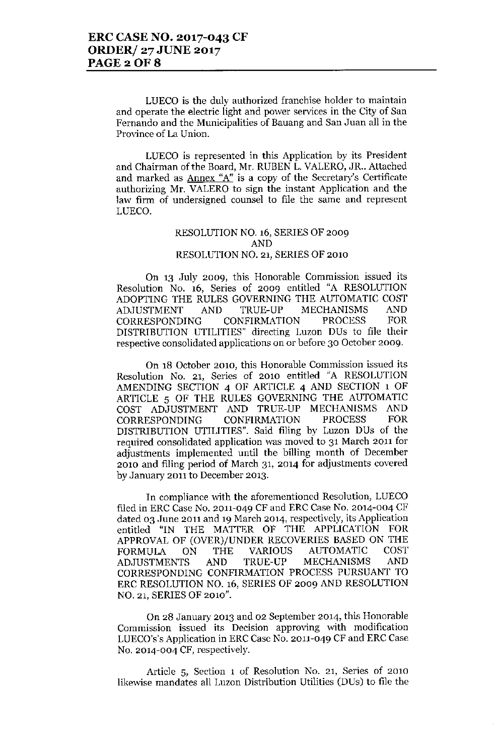**LUEca is the duly authorized franchise holder to maintain and operate the electric light and power services in the City of San Fernando and the Municipalities of Bauang and San .Juan all in the Province of La Union.**

**LUEca is represented in this Application by its President** and Chairman of the Board, Mr. RUBEN L. VALERO, JR.. Attached **and marked as Annex "A"is a copy of the Secretary's Certificate authorizing Mr. VALERO to sign the instant Application and the law firm of undersigned counsel to file the same and represent** LUECO.

#### RESOLUTION NO. 16, SERIES OF 2009 AND RESOLUTION NO. 21, SERIES OF 2010

**On 13 July 2009, this Honorable Commission issued its** Resolution No. 16, Series of 2009 entitled "A RESOLUTION ADOPTING THE RULES GOVERNING THE AUTOMATIC COST<br>ADJUSTMENT AND TRUE-UP MECHANISMS AND ADJUSTMENT AND TRUE-UP MECHANISMS<br>CORRESPONDING CONFIRMATION PROCESS CORRESPONDING CONFIRMATION PROCESS FOR DISTRIBUTION UTILITIES" directing Luzon DUs to file their **respective consolidated applications on or before 30 October 2009.**

**On 18 October 2010, this Honorable Commission issued its** Resolution No. 21, Series of 2010 entitled "A RESOLUTION AMENDING SECTION 4 OF ARTICLE 4 AND SECTION 1 OF ARTICLE 5 OF THE RULES GOVERNING THE AUTOMATIC COST ADJUSTMENT AND TRUE-UP MECHANISMS AND CORRESPONDING CONFIRMATION PROCESS FOR CORRESPONDING CONFIRMATION PROCESS FOR DISTRIBUTION UTILITIES". Said filing by Luzon DUs of the **required consolidated application** .was **moved to 31 March 2011 for adjustments implemented until the billing month of December 2010 and filing period of March 31, 2014 for adjustments covered by January 2011 to December 2013.**

**In compliance with the aforementioned Resolution, LUECO** filed in ERC Case No. 2011-049 CF and ERC Case No. 2014-004 CF **dated 03 .June 2011 and 19 March 2014, respectively, its Application** entitled "IN THE MATTER OF THE APPLICATION FOR APPROVAL OF (OVER)/UNDER RECOVERIES BASED ON THE FORMULA ON THE VARIOUS AUTOMATIC COST ADJUSTMENTS AND TRUE-UP MECHANISMS AND CORRESPONDING CONFIRMATION PROCESS PURSUANT TO ERC RESOLUTION NO. 16, SERIES OF 2009 AND RESOLUTION NO. 21, SERIES OF 2010".

**On 28 January 2013 and 02 September 2014, this Honorable Commission issued its Decision approving v'lith modification** LUECO's's Application in ERC Case No. 2011-049 CF and ERC Case **No. 2014-004 CF, respectively.**

**Article 5, Section 1 of Resolution No. 21, Series of 2010 likewise mandates all Luzon Distribution Utilities (DUs) to file the**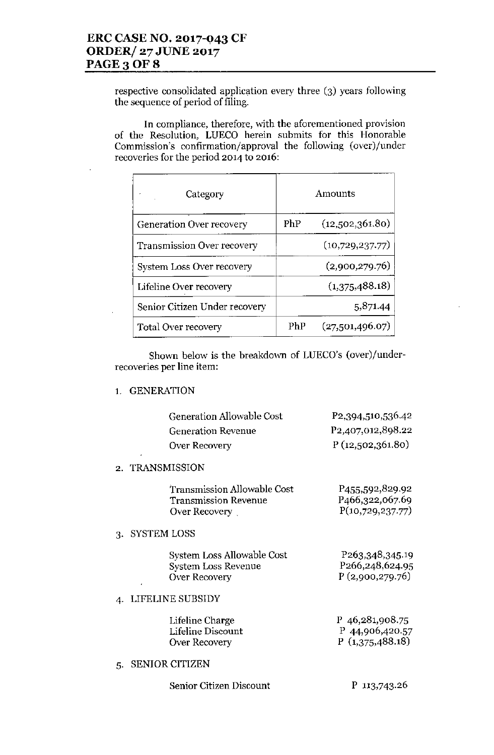l,

l,

respective consolidated application every three (3) years following the sequence of period of filing.

In compliance, therefore, with the aforementioned provision of the Resolution, LUECO herein submits for this Honorable Commission's confirmation/approval the following (over)/under recoveries for the period 2014 to 2016:

| Category                      | Amounts |                 |
|-------------------------------|---------|-----------------|
| Generation Over recovery      | PhP     | (12,502,361.80) |
| Transmission Over recovery    |         | (10,729,237.77) |
| System Loss Over recovery     |         | (2,900,279.76)  |
| Lifeline Over recovery        |         | (1,375,488.18)  |
| Senior Citizen Under recovery |         | 5,871.44        |
| <b>Total Over recovery</b>    | PhP     | (27,501,496.07) |

Shown below is the breakdown of LUECO's (over)/underrecoveries per line item:

1. GENERATION

|    |                    | <b>Generation Allowable Cost</b><br><b>Generation Revenue</b><br>Over Recovery | P <sub>2</sub> , 394, 510, 536. 42<br>P <sub>2</sub> ,407,012,898.22<br>P(12,502,361.80) |
|----|--------------------|--------------------------------------------------------------------------------|------------------------------------------------------------------------------------------|
|    | 2. TRANSMISSION    |                                                                                |                                                                                          |
|    |                    | Transmission Allowable Cost<br><b>Transmission Revenue</b><br>Over Recovery    | P <sub>455</sub> ,592,829.92<br>P <sub>466</sub> , 322, 067.69<br>P(10,729,237.77)       |
| 3. | <b>SYSTEM LOSS</b> |                                                                                |                                                                                          |
|    |                    | System Loss Allowable Cost<br><b>System Loss Revenue</b><br>Over Recovery      | P <sub>263</sub> , 348, 345. 19<br>P266,248,624.95<br>P(2,900,279.76)                    |
|    |                    | LIFELINE SUBSIDY                                                               |                                                                                          |
|    |                    | Lifeline Charge<br>Lifeline Discount<br>Over Recovery                          | P 46,281,908.75<br>P 44,906,420.57<br>P(1,375,488.18)                                    |
| 5. |                    | <b>SENIOR CITIZEN</b>                                                          |                                                                                          |

P 113,743.26

Senior Citizen Discount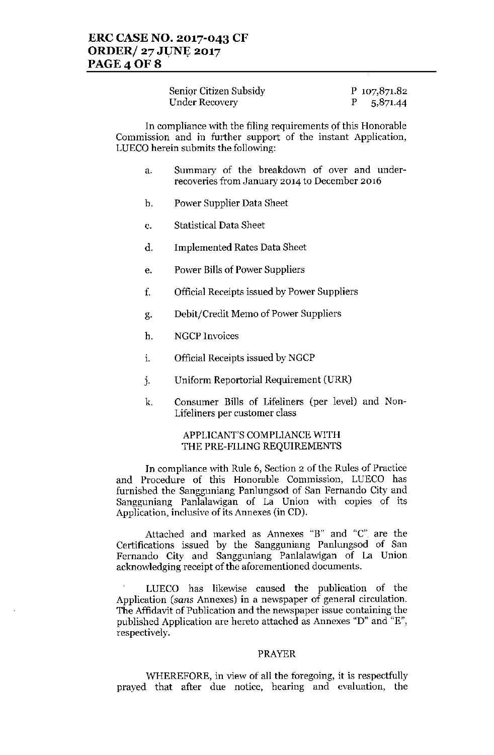| Senior Citizen Subsidy | P 107,871.82 |
|------------------------|--------------|
| Under Recovery         | 5,871.44     |

In compliance with the filing requirements of this Honorable Commission and in further support of the instant Application, LUECO herein submits the following:

- a. Summary of the breakdown of over and underrecoveries from January 2014 to December 2016
- b. Power Supplier Data Sheet
- c. Statistical Data Sheet
- d. Implemented Rates Data Sheet
- e. Power Bills of Power Suppliers
- f. Official Receipts issued by Power Suppliers
- g. Debit/Credit Memo of Power Suppliers
- h. NGCP Invoices
- 1. Official Receipts issued by NGCP
- j. Uniform Reportorial Requirement (URR)
- k. Consumer Bills of Lifeliners (per level) and Non-Lifeliners per customer class

## APPLICANT'S COMPLIANCE WITH THE PRE-FILING REQUIREMENTS

In compliance with Rule 6, Section 2 of the Rules of Practice and Procedure of this Honorable Commission, LUECO has furnished the Sangguniang Panlungsod of San Fernando City and Sangguniang Panlalawigan of La Union with copies of its Application, inclusive of its Annexes (in CD).

Attached and marked as Annexes "B" and "C" are the Certifications issued by the Sangguniang Panlungsod of San Fernando City and Sangguniang Panlalawigan of La Union acknowledging receipt of the aforementioned documents.

LUECO has likewise caused the publication of the Application *(sans* Annexes) in a newspaper of general circulation. The Affidavit of Publication and the newspaper issue containing the published Application are hereto attached as Annexes "D" and "E", respectively.

#### PRAYER

WHEREFORE, in view of all tbe foregoing, it is respectfully prayed that after due notice, hearing and evaluation, the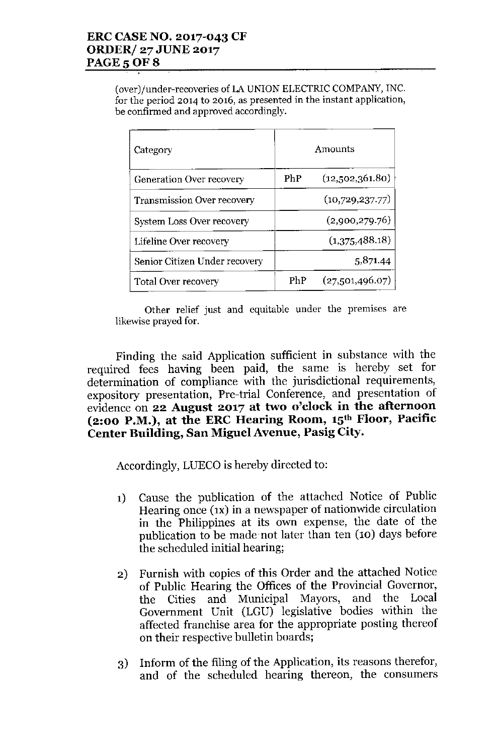(over)/under-recoveries of LA UNION ELECTRIC COMPANY, INC. **for the period 2014 to 2016, as presented in the instant application, be confirmed and approved accordingly.**

| Category                          | Amounts |                 |
|-----------------------------------|---------|-----------------|
| Generation Over recovery          | PhP     | (12,502,361.80) |
| <b>Transmission Over recovery</b> |         | (10,729,237.77) |
| System Loss Over recovery         |         | (2,900,279.76)  |
| Lifeline Over recovery            |         | (1,375,488.18)  |
| Senior Citizen Under recovery     |         | 5,871.44        |
| Total Over recovery               | PhP     | (27,501,496.07) |

**Other relief just and equitable under the premIses are likewise prayed fOf.**

Finding the said Application sufficient in substance with the required fees having been paid, the same is hereby set for determination of compliance with the jurisdictional requirements, expository presentation, Pre-trial Conference, and presentation of evidence on **22 August 2017 at two o'clock in the afternoon (2:00 P.M.), at the ERC Hearing Room, 15th Floor, Pacific Center Building, San Miguel Avenue, Pasig City.**

Accordingly, LUECO is hereby directed to:

- 1) Cause the publication of the attached Notice of Public Hearing once (1x) in a newspaper of nationwide circulation in the Philippines at its own expense, the date of the publication to be made not later than ten (10) days before the scheduled initial hearing;
- 2) Furnish with copies of this Order and the attached Notice of Public Hearing the Offices of the Provincial Governor, the Cities and Municipal Mayors, and the Local Government Unit (LGU) legislative bodies within the affected franchise area for the appropriate posting thereof on their respective bulletin boards;
- 3) Inform of the filing of the Application, its reasons therefor, and of the scheduled hearing thereon, the consumers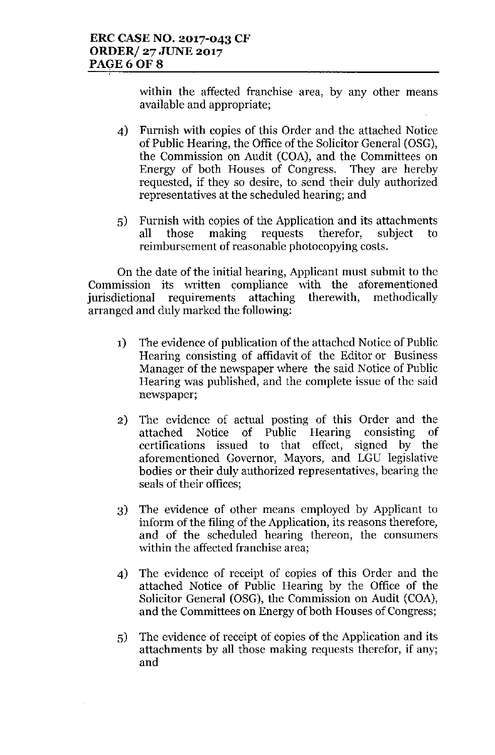within the affected franchise area, by any other means available and appropriate;

- 4) Furnish with copies of this Order and the attached Notice of Public Hearing, the Office of the Solicitor General (OSG), the Commission on Audit (COA), and the Committees on Energy of both Houses of Congress. They are hereby requested, if they so desire, to send their duly authorized representatives at the scheduled hearing; and
- 5) Furnish with copies of the Application and its attachments all those making requests therefor, subject to reimbursement of reasonable photocopying costs.

On the date of the initial hearing, Applicant must submit to the Commission its written compliance with the aforementioned<br>iurisdictional requirements attaching therewith, methodically jurisdictional requirements attaching therewith, methodically arranged and duly marked the following:

- 1) The evidence of publication of the attached Notice of Public Hearing consisting of affidavit of the Editor or Business Manager of the newspaper where the said Notice of Public Hearing was published, and the complete issue of the said newspaper;
- 2) The evidence of actual posting of this Order and the attached Notice of Public Hearing consisting of certifications issued to that effect, signed by the aforementioned Governor, Mayors, and LGU legislative bodies or their duly authorized representatives, bearing the seals of their offices;
- 3) The evidence of other means employed by Applicant to inform of the filing of the Application, its reasons therefore, and of the scheduled hearing thereon, the consumers within the affected franchise area;
- 4) The evidenee of reeeipt of copies of this Order and the attaehed Notiee of Public Hearing by the Office of the Solicitor General (OSG), the Commission on Audit (COA), and the Committees on Energy of both Houses of Congress;
- 5) The evidence of reeeipt of eopies of the Application and its attachments by all those making requests therefor, if any; and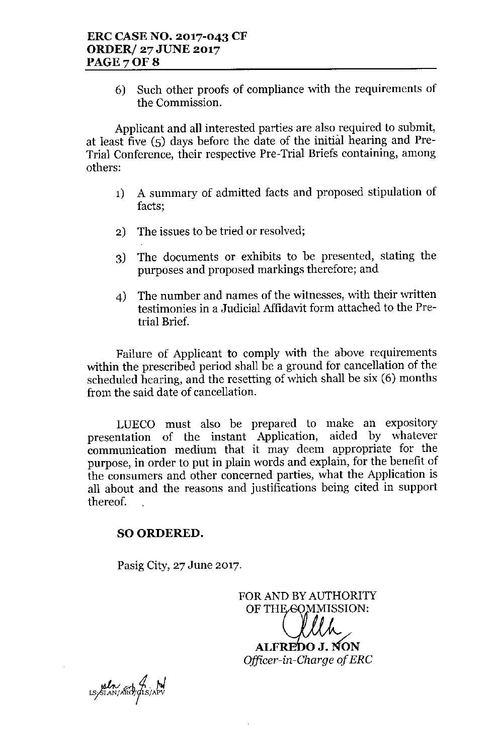6) Such other proofs of compliance with the requirements of the Commission.

Applicant and all interested parties are also required to submit, at least five (5) days before the date of the initial hearing and Pre-Trial Conference, their respective Pre-Trial Briefs containing, among others:

- 1) A summary of admitted facts and proposed stipulation of facts;
- 2) The issues to be tried or resolved;
- 3) The documents or exhibits to be presented, stating the purposes and proposed markings therefore; and
- 4) The number and names of the witnesses, with their written testimonies in a Judicial Affidavit form attached to the Pretrial Brief.

Failure of Applicant to comply with the above requirements within the prescribed period shall be a ground for cancellation of the scheduled hearing, and the resetting of which shall be six (6) months from the said date of cancellation.

LUECO must also be prepared to make an expository presentation of the instant Application, aided by whatever communication medium that it may deem appropriate for the purpose, in order to put in plain words and explain, for the benefit of the consumers and other concerned parties, what the Application is all about and the reasons and justifications being cited in support thereof.

# SO ORDERED.

Pasig City, 27 June 2017.

FOR AND BY AUTHORITY OF THE GOMMISSION:

**ALFREDO J. NON** *Officer-in-Charge of ERC*

un 4 M